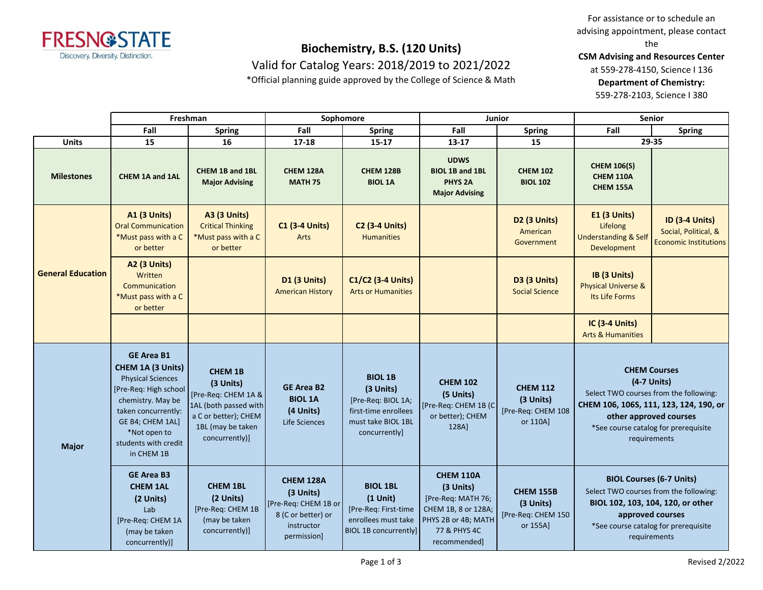

Valid for Catalog Years: 2018/2019 to 2021/2022

\*Official planning guide approved by the College of Science & Math

For assistance or to schedule an advising appointment, please contact the

**CSM Advising and Resources Center**

at 559-278-4150, Science I 136 **Department of Chemistry:** 559-278-2103, Science I 380

**Fall Spring Fall Spring Fall Spring Fall Spring Units 15 16 17-18 15-17 13-17 15 Milestones CHEM 1A and 1AL CHEM 1B and 1BL Major Advising CHEM 128A MATH 75 CHEM 128B BIOL 1A UDWS BIOL 1B and 1BL PHYS 2A Major Advising CHEM 102 BIOL 102 CHEM 106(S) CHEM 110A CHEM 155A A1 (3 Units)** Oral Communication \*Must pass with a C or better **A3 (3 Units)** Critical Thinking \*Must pass with a C or better **C1 (3-4 Units)** Arts **C2 (3-4 Units) Humanities D2 (3 Units)** American Government **E1 (3 Units)** Lifelong **Understanding & Self** Development **ID (3-4 Units)** Social, Political, & Economic Institutions **A2 (3 Units) Written** Communication \*Must pass with a C or better **D1 (3 Units)** American History **C1/C2 (3-4 Units)** Arts or Humanities **D3 (3 Units)** Social Science **IB (3 Units)** Physical Universe & Its Life Forms **IC (3-4 Units)** Arts & Humanities **GE Area B1 CHEM 1A (3 Units)** Physical Sciences [Pre-Req: High school chemistry. May be taken concurrently: GE B4; CHEM 1AL] \*Not open to students with credit in CHEM 1B **CHEM 1B (3 Units)** [Pre-Req: CHEM 1A & 1AL (both passed with a C or better); CHEM 1BL (may be taken concurrently)] **GE Area B2 BIOL 1A (4 Units)** Life Sciences **BIOL 1B (3 Units)** [Pre-Req: BIOL 1A; first-time enrollees must take BIOL 1BL concurrently] **CHEM 102 (5 Units)** Pre-Req: CHEM 1B (C or better); CHEM 128A] **CHEM 112 (3 Units)** [Pre-Req: CHEM 108 or 110A] **GE Area B3 CHEM 1AL (2 Units)** Lab [Pre-Req: CHEM 1A (may be taken concurrently)] **CHEM 1BL (2 Units)** [Pre-Req: CHEM 1B (may be taken concurrently)] **CHEM 128A (3 Units)** [Pre-Req: CHEM 1B or 8 (C or better) or instructor permission] **BIOL 1BL (1 Unit)** [Pre-Req: First-time enrollees must take BIOL 1B concurrently] **CHEM 110A (3 Units)** [Pre-Req: MATH 76; CHEM 1B, 8 or 128A; PHYS 2B or 4B; MATH 77 & PHYS 4C recommended] **CHEM 155B (3 Units)** [Pre-Req: CHEM 150 or 155A] **Freshman Sophomore Junior Senior General Education Major 29-35 CHEM Courses (4-7 Units)** Select TWO courses from the following: **CHEM 106, 106S, 111, 123, 124, 190, or other approved courses** \*See course catalog for prerequisite requirements **BIOL Courses (6-7 Units)** Select TWO courses from the following: **BIOL 102, 103, 104, 120, or other approved courses** \*See course catalog for prerequisite requirements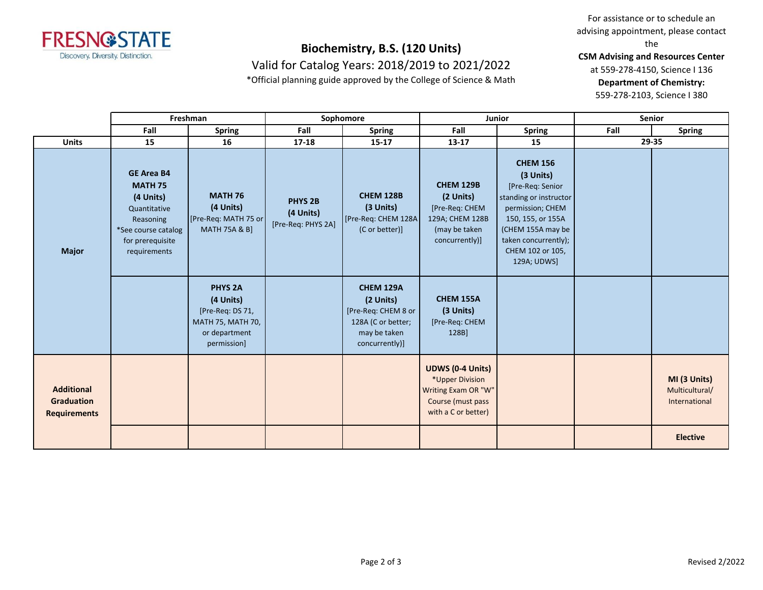

Valid for Catalog Years: 2018/2019 to 2021/2022

\*Official planning guide approved by the College of Science & Math

For assistance or to schedule an advising appointment, please contact the

**CSM Advising and Resources Center**

at 559-278-4150, Science I 136 **Department of Chemistry:**

559-278-2103, Science I 380

|                                                               | Freshman                                                                                                                                 |                                                                                                      | Sophomore                                             |                                                                                                              | Junior                                                                                                        |                                                                                                                                                                                                     | Senior |                                                 |
|---------------------------------------------------------------|------------------------------------------------------------------------------------------------------------------------------------------|------------------------------------------------------------------------------------------------------|-------------------------------------------------------|--------------------------------------------------------------------------------------------------------------|---------------------------------------------------------------------------------------------------------------|-----------------------------------------------------------------------------------------------------------------------------------------------------------------------------------------------------|--------|-------------------------------------------------|
|                                                               | Fall                                                                                                                                     | <b>Spring</b>                                                                                        | Fall                                                  | <b>Spring</b>                                                                                                | Fall                                                                                                          | <b>Spring</b>                                                                                                                                                                                       | Fall   | <b>Spring</b>                                   |
| <b>Units</b>                                                  | 15                                                                                                                                       | 16                                                                                                   | $17 - 18$                                             | $15 - 17$                                                                                                    | $13 - 17$                                                                                                     | 15                                                                                                                                                                                                  | 29-35  |                                                 |
| <b>Major</b>                                                  | <b>GE Area B4</b><br><b>MATH 75</b><br>(4 Units)<br>Quantitative<br>Reasoning<br>*See course catalog<br>for prerequisite<br>requirements | <b>MATH 76</b><br>(4 Units)<br>[Pre-Req: MATH 75 or<br><b>MATH 75A &amp; B]</b>                      | PHYS <sub>2B</sub><br>(4 Units)<br>[Pre-Req: PHYS 2A] | <b>CHEM 128B</b><br>(3 Units)<br>[Pre-Req: CHEM 128A]<br>(C or better)]                                      | <b>CHEM 129B</b><br>(2 Units)<br>[Pre-Req: CHEM<br>129A; CHEM 128B<br>(may be taken<br>concurrently)]         | <b>CHEM 156</b><br>(3 Units)<br>[Pre-Req: Senior<br>standing or instructor<br>permission; CHEM<br>150, 155, or 155A<br>(CHEM 155A may be<br>taken concurrently);<br>CHEM 102 or 105,<br>129A; UDWS] |        |                                                 |
|                                                               |                                                                                                                                          | <b>PHYS 2A</b><br>(4 Units)<br>[Pre-Req: DS 71,<br>MATH 75, MATH 70,<br>or department<br>permission] |                                                       | <b>CHEM 129A</b><br>(2 Units)<br>[Pre-Req: CHEM 8 or<br>128A (C or better;<br>may be taken<br>concurrently)] | <b>CHEM 155A</b><br>(3 Units)<br>[Pre-Req: CHEM<br>128B]                                                      |                                                                                                                                                                                                     |        |                                                 |
| <b>Additional</b><br><b>Graduation</b><br><b>Requirements</b> |                                                                                                                                          |                                                                                                      |                                                       |                                                                                                              | <b>UDWS (0-4 Units)</b><br>*Upper Division<br>Writing Exam OR "W"<br>Course (must pass<br>with a C or better) |                                                                                                                                                                                                     |        | MI (3 Units)<br>Multicultural/<br>International |
|                                                               |                                                                                                                                          |                                                                                                      |                                                       |                                                                                                              |                                                                                                               |                                                                                                                                                                                                     |        | <b>Elective</b>                                 |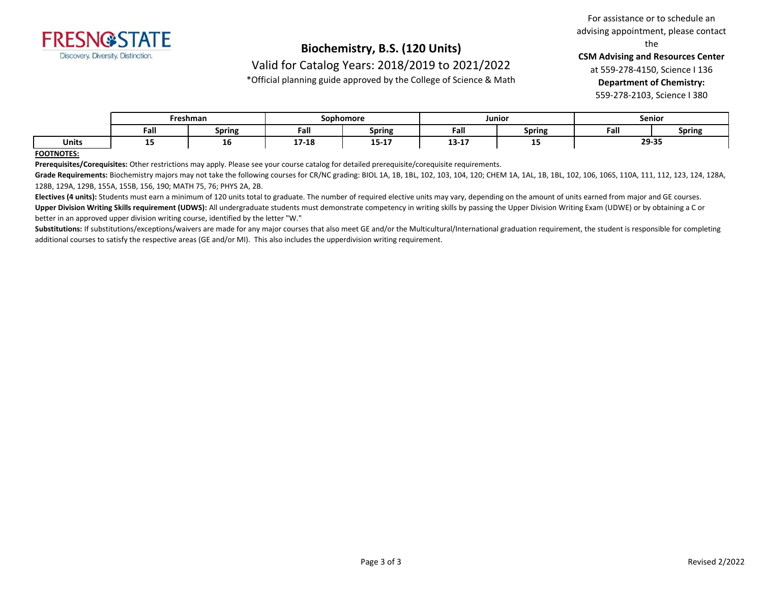

Valid for Catalog Years: 2018/2019 to 2021/2022

\*Official planning guide approved by the College of Science & Math

For assistance or to schedule an advising appointment, please contact the

**CSM Advising and Resources Center**

at 559-278-4150, Science I 136 **Department of Chemistry:**

559-278-2103, Science I 380

|              | Freshman |               | Sophomore |               | Junior        |               | Senior |        |
|--------------|----------|---------------|-----------|---------------|---------------|---------------|--------|--------|
|              | Fall     | <b>Spring</b> | Fall      | <b>Spring</b> | Fall          | <b>Spring</b> | Fall   | Spring |
| <b>Units</b> | --       | тo            | 17-18     | 13-T)         | 1917<br>13-TV | --            | 29-35  |        |

#### **FOOTNOTES:**

**Prerequisites/Corequisites:** Other restrictions may apply. Please see your course catalog for detailed prerequisite/corequisite requirements.

Grade Requirements: Biochemistry majors may not take the following courses for CR/NC grading: BIOL 1A, 1B, 1BL, 102, 103, 104, 120, 203, 104, 120, 124, 18, 104, 101, 105, 106S, 1006, 106S, 110A, 111, 112, 123, 124, 128A, 128B, 129A, 129B, 155A, 155B, 156, 190; MATH 75, 76; PHYS 2A, 2B.

**Electives (4 units):** Students must earn a minimum of 120 units total to graduate. The number of required elective units may vary, depending on the amount of units earned from major and GE courses. Upper Division Writing Skills requirement (UDWS): All undergraduate students must demonstrate competency in writing skills by passing the Upper Division Writing Exam (UDWE) or by obtaining a C or better in an approved upper division writing course, identified by the letter "W."

Substitutions: If substitutions/exceptions/waivers are made for any major courses that also meet GE and/or the Multicultural/International graduation requirement, the student is responsible for completing additional courses to satisfy the respective areas (GE and/or MI). This also includes the upperdivision writing requirement.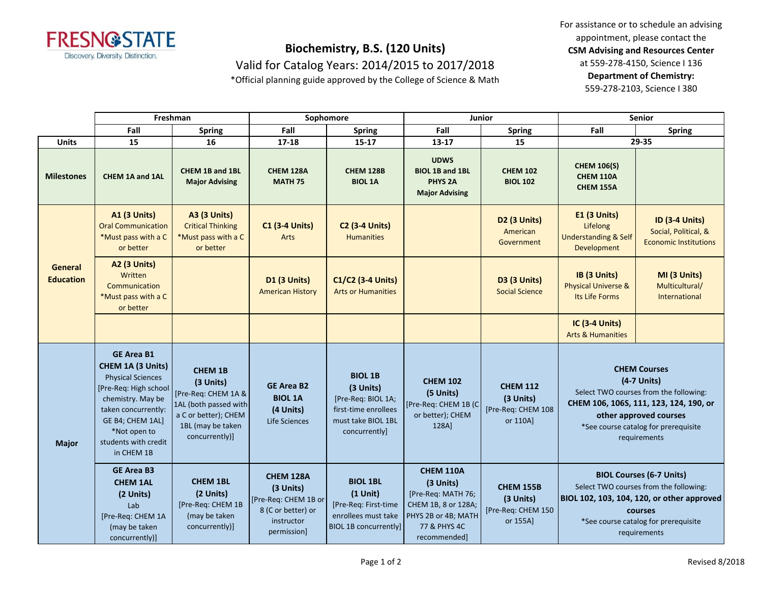

Valid for Catalog Years: 2014/2015 to 2017/2018

\*Official planning guide approved by the College of Science & Math

For assistance or to schedule an advising appointment, please contact the **CSM Advising and Resources Center** at 559-278-4150, Science I 136 **Department of Chemistry:** 559-278-2103, Science I 380

|                             | Freshman                                                                                                                                                                                                          |                                                                                                                                            | Sophomore                                                                                                |                                                                                                                  | Junior                                                                                                                     |                                                                 | Senior                                                                                                                                                                                                   |                                                                               |
|-----------------------------|-------------------------------------------------------------------------------------------------------------------------------------------------------------------------------------------------------------------|--------------------------------------------------------------------------------------------------------------------------------------------|----------------------------------------------------------------------------------------------------------|------------------------------------------------------------------------------------------------------------------|----------------------------------------------------------------------------------------------------------------------------|-----------------------------------------------------------------|----------------------------------------------------------------------------------------------------------------------------------------------------------------------------------------------------------|-------------------------------------------------------------------------------|
|                             | Fall                                                                                                                                                                                                              | <b>Spring</b>                                                                                                                              | Fall                                                                                                     | <b>Spring</b>                                                                                                    | Fall                                                                                                                       | <b>Spring</b>                                                   | Fall                                                                                                                                                                                                     | <b>Spring</b>                                                                 |
| <b>Units</b>                | 15                                                                                                                                                                                                                | 16                                                                                                                                         | $17 - 18$                                                                                                | $15 - 17$                                                                                                        | $13 - 17$                                                                                                                  | 15                                                              | 29-35                                                                                                                                                                                                    |                                                                               |
| <b>Milestones</b>           | <b>CHEM 1A and 1AL</b>                                                                                                                                                                                            | <b>CHEM 1B and 1BL</b><br><b>Major Advising</b>                                                                                            | <b>CHEM 128A</b><br><b>MATH 75</b>                                                                       | <b>CHEM 128B</b><br><b>BIOL 1A</b>                                                                               | <b>UDWS</b><br><b>BIOL 1B and 1BL</b><br>PHYS <sub>2A</sub><br><b>Major Advising</b>                                       | <b>CHEM 102</b><br><b>BIOL 102</b>                              | <b>CHEM 106(S)</b><br><b>CHEM 110A</b><br>CHEM 155A                                                                                                                                                      |                                                                               |
| General<br><b>Education</b> | <b>A1 (3 Units)</b><br><b>Oral Communication</b><br>*Must pass with a C<br>or better                                                                                                                              | <b>A3 (3 Units)</b><br><b>Critical Thinking</b><br>*Must pass with a C<br>or better                                                        | <b>C1 (3-4 Units)</b><br>Arts                                                                            | <b>C2 (3-4 Units)</b><br><b>Humanities</b>                                                                       |                                                                                                                            | D2 (3 Units)<br>American<br>Government                          | E1 (3 Units)<br>Lifelong<br><b>Understanding &amp; Self</b><br>Development                                                                                                                               | <b>ID (3-4 Units)</b><br>Social, Political, &<br><b>Economic Institutions</b> |
|                             | <b>A2 (3 Units)</b><br>Written<br>Communication<br>*Must pass with a C<br>or better                                                                                                                               |                                                                                                                                            | <b>D1 (3 Units)</b><br><b>American History</b>                                                           | C1/C2 (3-4 Units)<br><b>Arts or Humanities</b>                                                                   |                                                                                                                            | D3 (3 Units)<br><b>Social Science</b>                           | IB (3 Units)<br><b>Physical Universe &amp;</b><br>Its Life Forms                                                                                                                                         | MI (3 Units)<br>Multicultural/<br>International                               |
|                             |                                                                                                                                                                                                                   |                                                                                                                                            |                                                                                                          |                                                                                                                  |                                                                                                                            |                                                                 | <b>IC (3-4 Units)</b><br><b>Arts &amp; Humanities</b>                                                                                                                                                    |                                                                               |
| <b>Major</b>                | <b>GE Area B1</b><br>CHEM 1A (3 Units)<br><b>Physical Sciences</b><br>[Pre-Req: High school<br>chemistry. May be<br>taken concurrently:<br>GE B4; CHEM 1AL]<br>*Not open to<br>students with credit<br>in CHEM 1B | <b>CHEM 1B</b><br>(3 Units)<br>[Pre-Req: CHEM 1A &<br>1AL (both passed with<br>a C or better); CHEM<br>1BL (may be taken<br>concurrently)] | <b>GE Area B2</b><br><b>BIOL 1A</b><br>(4 Units)<br>Life Sciences                                        | <b>BIOL 1B</b><br>(3 Units)<br>[Pre-Req: BIOL 1A;<br>first-time enrollees<br>must take BIOL 1BL<br>concurrently] | <b>CHEM 102</b><br>(5 Units)<br>[Pre-Req: CHEM 1B (C<br>or better); CHEM<br>128A]                                          | <b>CHEM 112</b><br>(3 Units)<br>[Pre-Req: CHEM 108<br>or 110A]  | <b>CHEM Courses</b><br>(4-7 Units)<br>Select TWO courses from the following:<br>CHEM 106, 106S, 111, 123, 124, 190, or<br>other approved courses<br>*See course catalog for prerequisite<br>requirements |                                                                               |
|                             | <b>GE Area B3</b><br><b>CHEM 1AL</b><br>(2 Units)<br>Lab<br>[Pre-Req: CHEM 1A<br>(may be taken<br>concurrently)]                                                                                                  | <b>CHEM 1BL</b><br>(2 Units)<br>[Pre-Req: CHEM 1B<br>(may be taken<br>concurrently)]                                                       | <b>CHEM 128A</b><br>(3 Units)<br>[Pre-Req: CHEM 1B or<br>8 (C or better) or<br>instructor<br>permission] | <b>BIOL 1BL</b><br>$(1$ Unit)<br>[Pre-Req: First-time<br>enrollees must take<br><b>BIOL 1B concurrently]</b>     | CHEM 110A<br>(3 Units)<br>[Pre-Req: MATH 76;<br>CHEM 1B, 8 or 128A;<br>PHYS 2B or 4B; MATH<br>77 & PHYS 4C<br>recommended] | <b>CHEM 155B</b><br>(3 Units)<br>[Pre-Req: CHEM 150<br>or 155A] | <b>BIOL Courses (6-7 Units)</b><br>Select TWO courses from the following:<br>BIOL 102, 103, 104, 120, or other approved<br>courses<br>*See course catalog for prerequisite<br>requirements               |                                                                               |